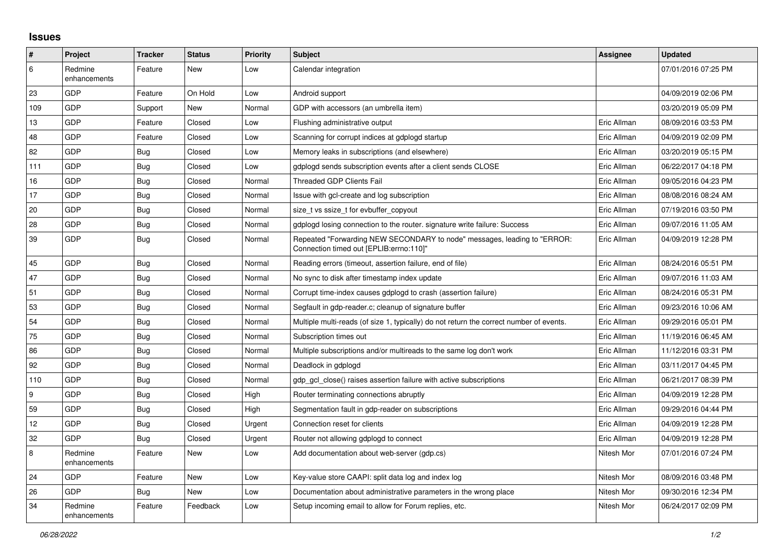## **Issues**

| #   | Project                 | <b>Tracker</b> | <b>Status</b> | <b>Priority</b> | <b>Subject</b>                                                                                                      | <b>Assignee</b> | <b>Updated</b>      |
|-----|-------------------------|----------------|---------------|-----------------|---------------------------------------------------------------------------------------------------------------------|-----------------|---------------------|
| 6   | Redmine<br>enhancements | Feature        | New           | Low             | Calendar integration                                                                                                |                 | 07/01/2016 07:25 PM |
| 23  | GDP                     | Feature        | On Hold       | Low             | Android support                                                                                                     |                 | 04/09/2019 02:06 PM |
| 109 | GDP                     | Support        | New           | Normal          | GDP with accessors (an umbrella item)                                                                               |                 | 03/20/2019 05:09 PM |
| 13  | GDP                     | Feature        | Closed        | Low             | Flushing administrative output                                                                                      | Eric Allman     | 08/09/2016 03:53 PM |
| 48  | <b>GDP</b>              | Feature        | Closed        | Low             | Scanning for corrupt indices at gdplogd startup                                                                     | Eric Allman     | 04/09/2019 02:09 PM |
| 82  | GDP                     | Bug            | Closed        | Low             | Memory leaks in subscriptions (and elsewhere)                                                                       | Eric Allman     | 03/20/2019 05:15 PM |
| 111 | GDP                     | Bug            | Closed        | Low             | gdplogd sends subscription events after a client sends CLOSE                                                        | Eric Allman     | 06/22/2017 04:18 PM |
| 16  | GDP                     | Bug            | Closed        | Normal          | <b>Threaded GDP Clients Fail</b>                                                                                    | Eric Allman     | 09/05/2016 04:23 PM |
| 17  | GDP                     | Bug            | Closed        | Normal          | Issue with gcl-create and log subscription                                                                          | Eric Allman     | 08/08/2016 08:24 AM |
| 20  | GDP                     | <b>Bug</b>     | Closed        | Normal          | size t vs ssize t for evbuffer copyout                                                                              | Eric Allman     | 07/19/2016 03:50 PM |
| 28  | GDP                     | Bug            | Closed        | Normal          | gdplogd losing connection to the router. signature write failure: Success                                           | Eric Allman     | 09/07/2016 11:05 AM |
| 39  | GDP                     | Bug            | Closed        | Normal          | Repeated "Forwarding NEW SECONDARY to node" messages, leading to "ERROR:<br>Connection timed out [EPLIB:errno:110]" | Eric Allman     | 04/09/2019 12:28 PM |
| 45  | GDP                     | Bug            | Closed        | Normal          | Reading errors (timeout, assertion failure, end of file)                                                            | Eric Allman     | 08/24/2016 05:51 PM |
| 47  | GDP                     | Bug            | Closed        | Normal          | No sync to disk after timestamp index update                                                                        | Eric Allman     | 09/07/2016 11:03 AM |
| 51  | GDP                     | <b>Bug</b>     | Closed        | Normal          | Corrupt time-index causes gdplogd to crash (assertion failure)                                                      | Eric Allman     | 08/24/2016 05:31 PM |
| 53  | GDP                     | <b>Bug</b>     | Closed        | Normal          | Segfault in gdp-reader.c; cleanup of signature buffer                                                               | Eric Allman     | 09/23/2016 10:06 AM |
| 54  | GDP                     | Bug            | Closed        | Normal          | Multiple multi-reads (of size 1, typically) do not return the correct number of events.                             | Eric Allman     | 09/29/2016 05:01 PM |
| 75  | GDP                     | Bug            | Closed        | Normal          | Subscription times out                                                                                              | Eric Allman     | 11/19/2016 06:45 AM |
| 86  | GDP                     | Bug            | Closed        | Normal          | Multiple subscriptions and/or multireads to the same log don't work                                                 | Eric Allman     | 11/12/2016 03:31 PM |
| 92  | GDP                     | Bug            | Closed        | Normal          | Deadlock in gdplogd                                                                                                 | Eric Allman     | 03/11/2017 04:45 PM |
| 110 | GDP                     | Bug            | Closed        | Normal          | gdp gcl close() raises assertion failure with active subscriptions                                                  | Eric Allman     | 06/21/2017 08:39 PM |
| 9   | GDP                     | Bug            | Closed        | High            | Router terminating connections abruptly                                                                             | Eric Allman     | 04/09/2019 12:28 PM |
| 59  | <b>GDP</b>              | Bug            | Closed        | High            | Segmentation fault in gdp-reader on subscriptions                                                                   | Eric Allman     | 09/29/2016 04:44 PM |
| 12  | GDP                     | <b>Bug</b>     | Closed        | Urgent          | Connection reset for clients                                                                                        | Eric Allman     | 04/09/2019 12:28 PM |
| 32  | GDP                     | Bug            | Closed        | Urgent          | Router not allowing gdplogd to connect                                                                              | Eric Allman     | 04/09/2019 12:28 PM |
| 8   | Redmine<br>enhancements | Feature        | New           | Low             | Add documentation about web-server (gdp.cs)                                                                         | Nitesh Mor      | 07/01/2016 07:24 PM |
| 24  | GDP                     | Feature        | New           | Low             | Key-value store CAAPI: split data log and index log                                                                 | Nitesh Mor      | 08/09/2016 03:48 PM |
| 26  | GDP                     | <b>Bug</b>     | New           | Low             | Documentation about administrative parameters in the wrong place                                                    | Nitesh Mor      | 09/30/2016 12:34 PM |
| 34  | Redmine<br>enhancements | Feature        | Feedback      | Low             | Setup incoming email to allow for Forum replies, etc.                                                               | Nitesh Mor      | 06/24/2017 02:09 PM |